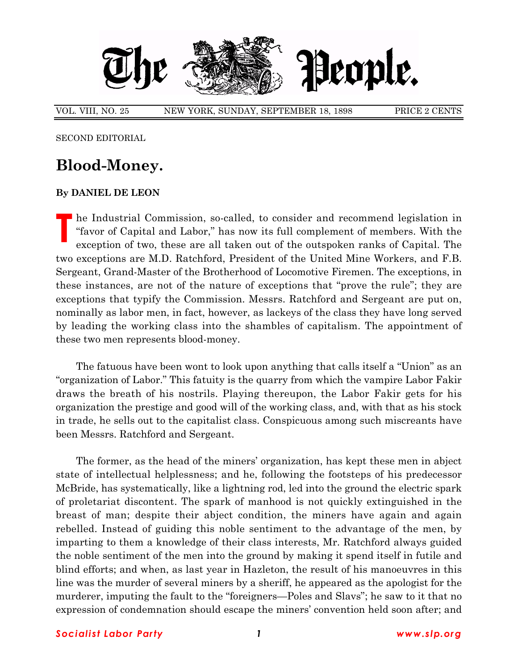

VOL. VIII, NO. 25 NEW YORK, SUNDAY, SEPTEMBER 18, 1898 PRICE 2 CENTS

SECOND EDITORIAL

## **Blood-Money.**

## **By DANIEL DE LEON**

**T** he Industrial Commission, so-called, to consider and recommend legislation in ìfavor of Capital and Labor,î has now its full complement of members. With the exception of two, these are all taken out of the outspoken ranks of Capital. The two exceptions are M.D. Ratchford, President of the United Mine Workers, and F.B. Sergeant, Grand-Master of the Brotherhood of Locomotive Firemen. The exceptions, in these instances, are not of the nature of exceptions that "prove the rule"; they are exceptions that typify the Commission. Messrs. Ratchford and Sergeant are put on, nominally as labor men, in fact, however, as lackeys of the class they have long served by leading the working class into the shambles of capitalism. The appointment of these two men represents blood-money.

The fatuous have been wont to look upon anything that calls itself a "Union" as an ìorganization of Labor.î This fatuity is the quarry from which the vampire Labor Fakir draws the breath of his nostrils. Playing thereupon, the Labor Fakir gets for his organization the prestige and good will of the working class, and, with that as his stock in trade, he sells out to the capitalist class. Conspicuous among such miscreants have been Messrs. Ratchford and Sergeant.

The former, as the head of the miners' organization, has kept these men in abject state of intellectual helplessness; and he, following the footsteps of his predecessor McBride, has systematically, like a lightning rod, led into the ground the electric spark of proletariat discontent. The spark of manhood is not quickly extinguished in the breast of man; despite their abject condition, the miners have again and again rebelled. Instead of guiding this noble sentiment to the advantage of the men, by imparting to them a knowledge of their class interests, Mr. Ratchford always guided the noble sentiment of the men into the ground by making it spend itself in futile and blind efforts; and when, as last year in Hazleton, the result of his manoeuvres in this line was the murder of several miners by a sheriff, he appeared as the apologist for the murderer, imputing the fault to the "foreigners—Poles and Slavs"; he saw to it that no expression of condemnation should escape the miners' convention held soon after; and

## *Socialist Labor Party 1 www.slp.org*